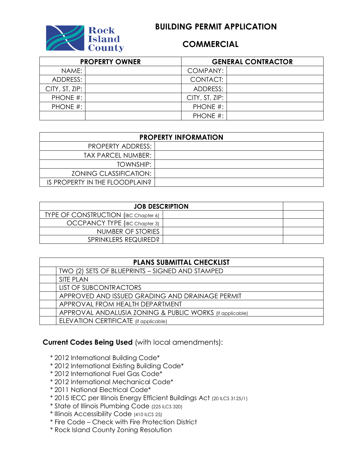

## **COMMERCIAL**

| <b>PROPERTY OWNER</b> |  | <b>GENERAL CONTRACTOR</b> |  |  |
|-----------------------|--|---------------------------|--|--|
| NAME:                 |  | COMPANY:                  |  |  |
| ADDRESS:              |  | CONTACT:                  |  |  |
| CITY, ST, ZIP:        |  | ADDRESS:                  |  |  |
| PHONE #:              |  | CITY, ST, ZIP:            |  |  |
| PHONE #:              |  | PHONE #:                  |  |  |
|                       |  | PHONE #:                  |  |  |

| <b>PROPERTY INFORMATION</b>    |  |  |  |
|--------------------------------|--|--|--|
| PROPERTY ADDRESS:              |  |  |  |
| TAX PARCEL NUMBER:             |  |  |  |
| TOWNSHIP:                      |  |  |  |
| <b>ZONING CLASSIFICATION:</b>  |  |  |  |
| IS PROPERTY IN THE FLOODPLAIN? |  |  |  |

| <b>JOB DESCRIPTION</b>                      |  |  |
|---------------------------------------------|--|--|
| <b>TYPE OF CONSTRUCTION (IBC Chapter 6)</b> |  |  |
| OCCPANCY TYPE (IBC Chapter 3)               |  |  |
| NUMBER OF STORIES                           |  |  |
| SPRINKLERS REQUIRED?                        |  |  |

| <b>PLANS SUBMITTAL CHECKLIST</b> |                                                          |  |  |
|----------------------------------|----------------------------------------------------------|--|--|
|                                  | TWO (2) SETS OF BLUEPRINTS - SIGNED AND STAMPED          |  |  |
|                                  | <b>SITE PLAN</b>                                         |  |  |
|                                  | <b>LIST OF SUBCONTRACTORS</b>                            |  |  |
|                                  | APPROVED AND ISSUED GRADING AND DRAINAGE PERMIT          |  |  |
|                                  | APPROVAL FROM HEALTH DEPARTMENT                          |  |  |
|                                  | APPROVAL ANDALUSIA ZONING & PUBLIC WORKS (if applicable) |  |  |
|                                  | ELEVATION CERTIFICATE (if applicable)                    |  |  |

## **Current Codes Being Used** (with local amendments):

- \* 2012 International Building Code\*
- \* 2012 International Existing Building Code\*
- \* 2012 International Fuel Gas Code\*
- \* 2012 International Mechanical Code\*
- \* 2011 National Electrical Code\*
- \* 2015 IECC per Illinois Energy Efficient Buildings Act (20 ILCS 3125/1)
- \* State of Illinois Plumbing Code (225 ILCS 320)
- \* Illinois Accessibility Code (410 ILCS 25)
- \* Fire Code Check with Fire Protection District
- \* Rock Island County Zoning Resolution